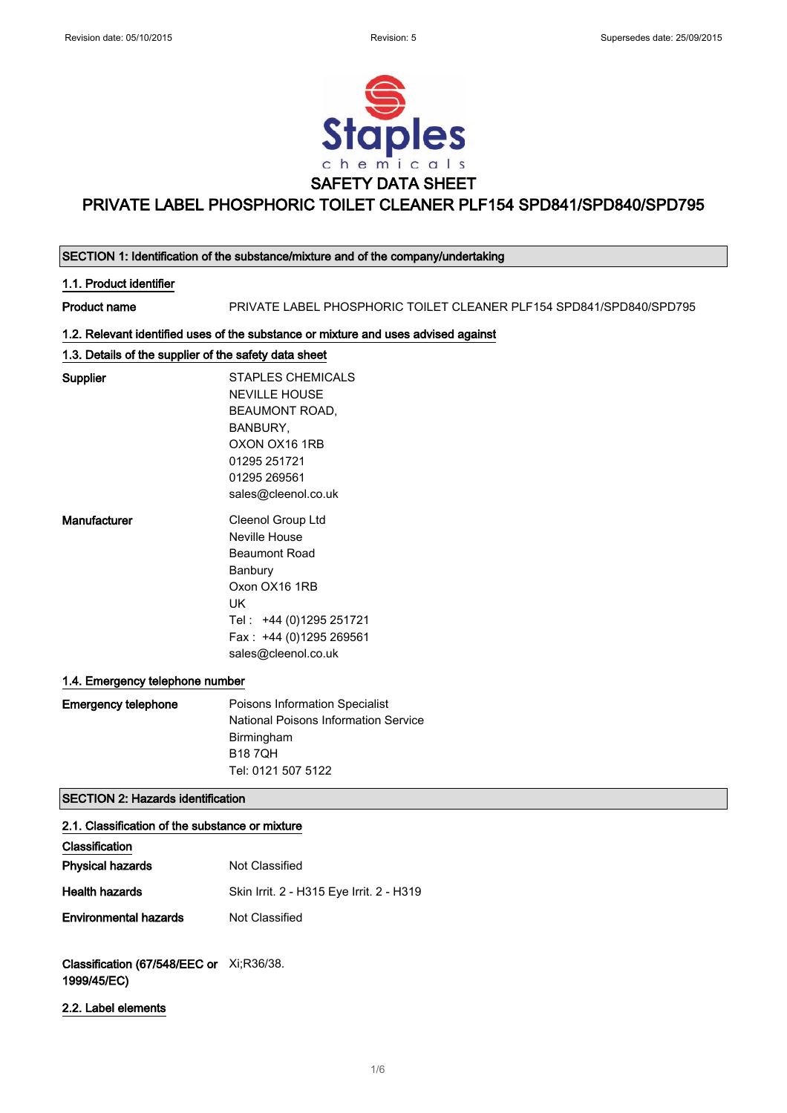

| SECTION 1: Identification of the substance/mixture and of the company/undertaking |                                                                                                                                                                           |
|-----------------------------------------------------------------------------------|---------------------------------------------------------------------------------------------------------------------------------------------------------------------------|
| 1.1. Product identifier                                                           |                                                                                                                                                                           |
| <b>Product name</b>                                                               | PRIVATE LABEL PHOSPHORIC TOILET CLEANER PLF154 SPD841/SPD840/SPD795                                                                                                       |
|                                                                                   | 1.2. Relevant identified uses of the substance or mixture and uses advised against                                                                                        |
| 1.3. Details of the supplier of the safety data sheet                             |                                                                                                                                                                           |
| Supplier                                                                          | <b>STAPLES CHEMICALS</b><br><b>NEVILLE HOUSE</b><br><b>BEAUMONT ROAD,</b><br>BANBURY,<br>OXON OX16 1RB<br>01295 251721<br>01295 269561<br>sales@cleenol.co.uk             |
| Manufacturer                                                                      | Cleenol Group Ltd<br>Neville House<br><b>Beaumont Road</b><br>Banbury<br>Oxon OX16 1RB<br>UK<br>Tel: +44 (0)1295 251721<br>Fax: +44 (0)1295 269561<br>sales@cleenol.co.uk |
| 1.4. Emergency telephone number                                                   |                                                                                                                                                                           |
| <b>Emergency telephone</b>                                                        | Poisons Information Specialist<br><b>National Poisons Information Service</b><br>Birmingham<br><b>B187QH</b><br>Tel: 0121 507 5122                                        |
| <b>SECTION 2: Hazards identification</b>                                          |                                                                                                                                                                           |
| 2.1. Classification of the substance or mixture                                   |                                                                                                                                                                           |
| Classification                                                                    |                                                                                                                                                                           |
| <b>Physical hazards</b>                                                           | Not Classified                                                                                                                                                            |
| Health hazards                                                                    | Skin Irrit. 2 - H315 Eye Irrit. 2 - H319                                                                                                                                  |

Environmental hazards Not Classified

Classification (67/548/EEC or Xi;R36/38. 1999/45/EC)

2.2. Label elements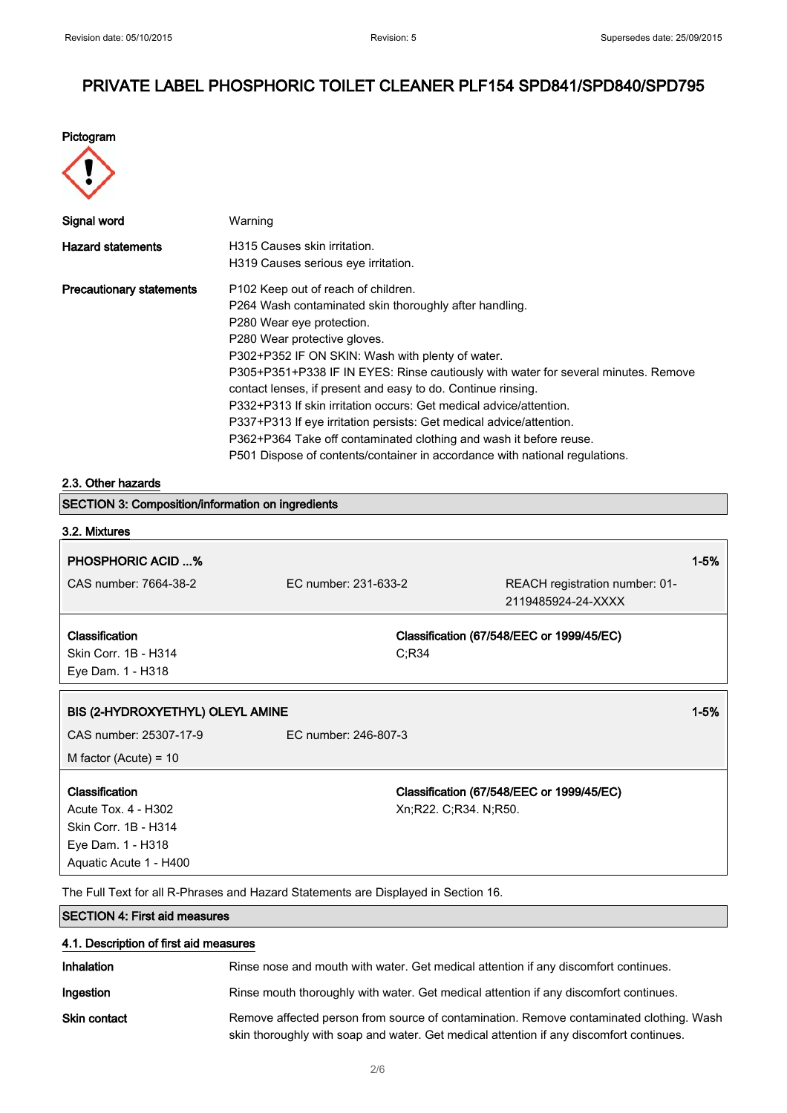Pictogram



| Signal word                     | Warning                                                                                                                                                                                                                                                                                                                                                                                                                                                                                                                                                                                                                                                                            |
|---------------------------------|------------------------------------------------------------------------------------------------------------------------------------------------------------------------------------------------------------------------------------------------------------------------------------------------------------------------------------------------------------------------------------------------------------------------------------------------------------------------------------------------------------------------------------------------------------------------------------------------------------------------------------------------------------------------------------|
| <b>Hazard statements</b>        | H315 Causes skin irritation.<br>H319 Causes serious eye irritation.                                                                                                                                                                                                                                                                                                                                                                                                                                                                                                                                                                                                                |
| <b>Precautionary statements</b> | P <sub>102</sub> Keep out of reach of children.<br>P264 Wash contaminated skin thoroughly after handling.<br>P280 Wear eye protection.<br>P280 Wear protective gloves.<br>P302+P352 IF ON SKIN: Wash with plenty of water.<br>P305+P351+P338 IF IN EYES: Rinse cautiously with water for several minutes. Remove<br>contact lenses, if present and easy to do. Continue rinsing.<br>P332+P313 If skin irritation occurs: Get medical advice/attention.<br>P337+P313 If eye irritation persists: Get medical advice/attention.<br>P362+P364 Take off contaminated clothing and wash it before reuse.<br>P501 Dispose of contents/container in accordance with national regulations. |

#### 2.3. Other hazards

| <b>SECTION 3: Composition/information on ingredients</b> |                      |                       |                                                      |        |
|----------------------------------------------------------|----------------------|-----------------------|------------------------------------------------------|--------|
| 3.2. Mixtures                                            |                      |                       |                                                      |        |
| <b>PHOSPHORIC ACID %</b>                                 |                      |                       |                                                      | $1-5%$ |
| CAS number: 7664-38-2                                    | EC number: 231-633-2 |                       | REACH registration number: 01-<br>2119485924-24-XXXX |        |
| Classification                                           |                      |                       | Classification (67/548/EEC or 1999/45/EC)            |        |
| Skin Corr. 1B - H314                                     |                      | C; R34                |                                                      |        |
| Eye Dam. 1 - H318                                        |                      |                       |                                                      |        |
|                                                          |                      |                       |                                                      |        |
| BIS (2-HYDROXYETHYL) OLEYL AMINE                         |                      |                       |                                                      | $1-5%$ |
| CAS number: 25307-17-9                                   | EC number: 246-807-3 |                       |                                                      |        |
| M factor (Acute) = $10$                                  |                      |                       |                                                      |        |
| Classification                                           |                      |                       | Classification (67/548/EEC or 1999/45/EC)            |        |
| Acute Tox. 4 - H302                                      |                      | Xn;R22. C;R34. N;R50. |                                                      |        |
| Skin Corr. 1B - H314                                     |                      |                       |                                                      |        |
| Eye Dam. 1 - H318                                        |                      |                       |                                                      |        |
| Aquatic Acute 1 - H400                                   |                      |                       |                                                      |        |

The Full Text for all R-Phrases and Hazard Statements are Displayed in Section 16.

# SECTION 4: First aid measures 4.1. Description of first aid measures Inhalation Rinse nose and mouth with water. Get medical attention if any discomfort continues. Ingestion **Rinse mouth thoroughly with water. Get medical attention if any discomfort continues.** Skin contact Remove affected person from source of contamination. Remove contaminated clothing. Wash skin thoroughly with soap and water. Get medical attention if any discomfort continues.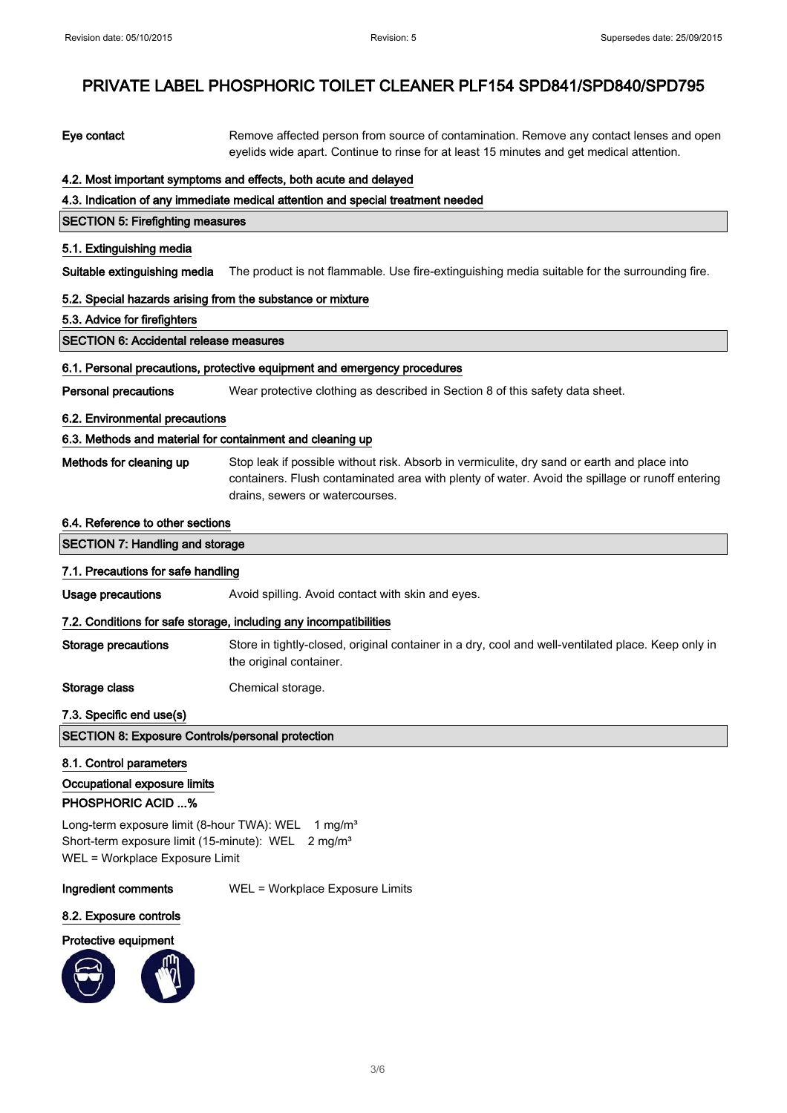| Eye contact                                                                                                                                                  | Remove affected person from source of contamination. Remove any contact lenses and open<br>eyelids wide apart. Continue to rinse for at least 15 minutes and get medical attention.                                               |
|--------------------------------------------------------------------------------------------------------------------------------------------------------------|-----------------------------------------------------------------------------------------------------------------------------------------------------------------------------------------------------------------------------------|
|                                                                                                                                                              | 4.2. Most important symptoms and effects, both acute and delayed                                                                                                                                                                  |
|                                                                                                                                                              | 4.3. Indication of any immediate medical attention and special treatment needed                                                                                                                                                   |
| <b>SECTION 5: Firefighting measures</b>                                                                                                                      |                                                                                                                                                                                                                                   |
| 5.1. Extinguishing media                                                                                                                                     |                                                                                                                                                                                                                                   |
| Suitable extinguishing media                                                                                                                                 | The product is not flammable. Use fire-extinguishing media suitable for the surrounding fire.                                                                                                                                     |
| 5.2. Special hazards arising from the substance or mixture                                                                                                   |                                                                                                                                                                                                                                   |
| 5.3. Advice for firefighters                                                                                                                                 |                                                                                                                                                                                                                                   |
| <b>SECTION 6: Accidental release measures</b>                                                                                                                |                                                                                                                                                                                                                                   |
|                                                                                                                                                              | 6.1. Personal precautions, protective equipment and emergency procedures                                                                                                                                                          |
| <b>Personal precautions</b>                                                                                                                                  | Wear protective clothing as described in Section 8 of this safety data sheet.                                                                                                                                                     |
| 6.2. Environmental precautions                                                                                                                               |                                                                                                                                                                                                                                   |
| 6.3. Methods and material for containment and cleaning up                                                                                                    |                                                                                                                                                                                                                                   |
| Methods for cleaning up                                                                                                                                      | Stop leak if possible without risk. Absorb in vermiculite, dry sand or earth and place into<br>containers. Flush contaminated area with plenty of water. Avoid the spillage or runoff entering<br>drains, sewers or watercourses. |
| 6.4. Reference to other sections                                                                                                                             |                                                                                                                                                                                                                                   |
| <b>SECTION 7: Handling and storage</b>                                                                                                                       |                                                                                                                                                                                                                                   |
| 7.1. Precautions for safe handling                                                                                                                           |                                                                                                                                                                                                                                   |
| <b>Usage precautions</b>                                                                                                                                     | Avoid spilling. Avoid contact with skin and eyes.                                                                                                                                                                                 |
|                                                                                                                                                              | 7.2. Conditions for safe storage, including any incompatibilities                                                                                                                                                                 |
| <b>Storage precautions</b>                                                                                                                                   | Store in tightly-closed, original container in a dry, cool and well-ventilated place. Keep only in<br>the original container.                                                                                                     |
| Storage class                                                                                                                                                | Chemical storage.                                                                                                                                                                                                                 |
| 7.3. Specific end use(s)                                                                                                                                     |                                                                                                                                                                                                                                   |
| <b>SECTION 8: Exposure Controls/personal protection</b>                                                                                                      |                                                                                                                                                                                                                                   |
| 8.1. Control parameters                                                                                                                                      |                                                                                                                                                                                                                                   |
| Occupational exposure limits                                                                                                                                 |                                                                                                                                                                                                                                   |
| <b>PHOSPHORIC ACID %</b>                                                                                                                                     |                                                                                                                                                                                                                                   |
| Long-term exposure limit (8-hour TWA): WEL<br>1 mg/ $m3$<br>Short-term exposure limit (15-minute): WEL 2 mg/m <sup>3</sup><br>WEL = Workplace Exposure Limit |                                                                                                                                                                                                                                   |
| <b>Ingredient comments</b>                                                                                                                                   | WEL = Workplace Exposure Limits                                                                                                                                                                                                   |
| 8.2. Exposure controls                                                                                                                                       |                                                                                                                                                                                                                                   |
| Protective equipment                                                                                                                                         |                                                                                                                                                                                                                                   |

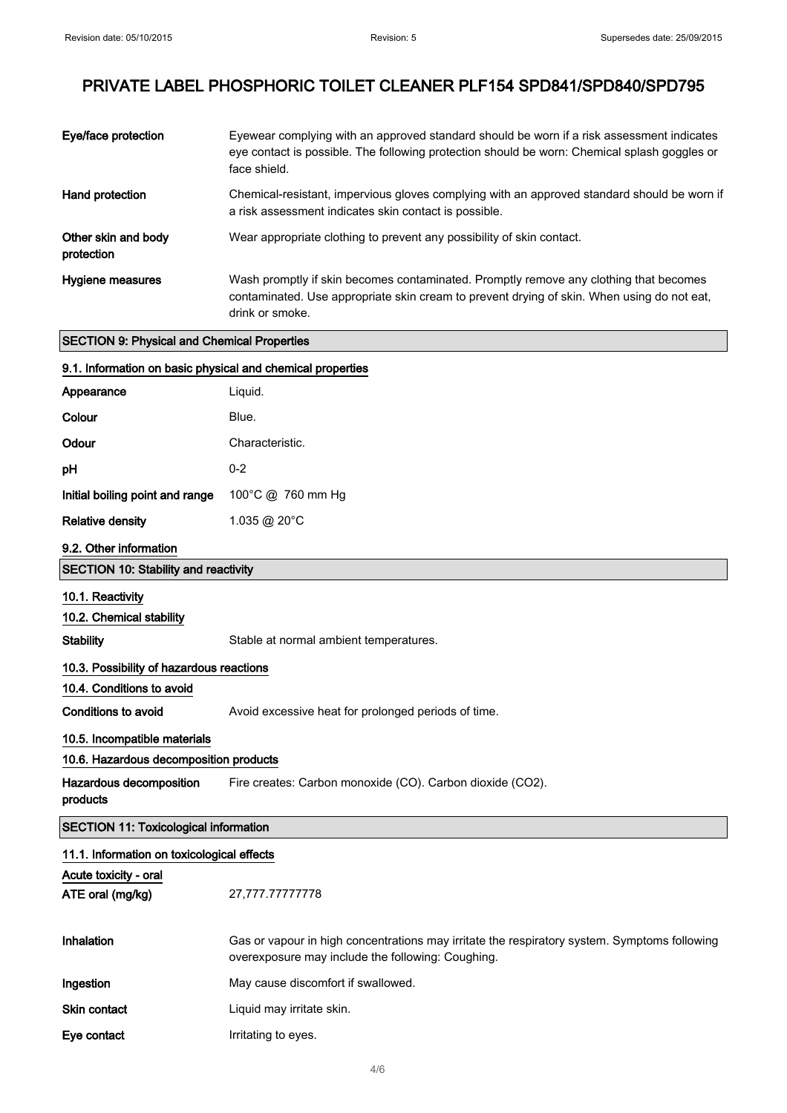| Eye/face protection                                | Eyewear complying with an approved standard should be worn if a risk assessment indicates<br>eye contact is possible. The following protection should be worn: Chemical splash goggles or<br>face shield. |
|----------------------------------------------------|-----------------------------------------------------------------------------------------------------------------------------------------------------------------------------------------------------------|
| Hand protection                                    | Chemical-resistant, impervious gloves complying with an approved standard should be worn if<br>a risk assessment indicates skin contact is possible.                                                      |
| Other skin and body<br>protection                  | Wear appropriate clothing to prevent any possibility of skin contact.                                                                                                                                     |
| Hygiene measures                                   | Wash promptly if skin becomes contaminated. Promptly remove any clothing that becomes<br>contaminated. Use appropriate skin cream to prevent drying of skin. When using do not eat,<br>drink or smoke.    |
| <b>SECTION 9: Physical and Chemical Properties</b> |                                                                                                                                                                                                           |

| 9.1. Information on basic physical and chemical properties |                                                                                                                                                   |
|------------------------------------------------------------|---------------------------------------------------------------------------------------------------------------------------------------------------|
| Appearance                                                 | Liquid.                                                                                                                                           |
| Colour                                                     | Blue.                                                                                                                                             |
| Odour                                                      | Characteristic.                                                                                                                                   |
| рH                                                         | $0 - 2$                                                                                                                                           |
| Initial boiling point and range                            | 100°C @ 760 mm Hg                                                                                                                                 |
| <b>Relative density</b>                                    | 1.035 @ 20°C                                                                                                                                      |
| 9.2. Other information                                     |                                                                                                                                                   |
| <b>SECTION 10: Stability and reactivity</b>                |                                                                                                                                                   |
| 10.1. Reactivity<br>10.2. Chemical stability               |                                                                                                                                                   |
| <b>Stability</b>                                           | Stable at normal ambient temperatures.                                                                                                            |
| 10.3. Possibility of hazardous reactions                   |                                                                                                                                                   |
| 10.4. Conditions to avoid                                  |                                                                                                                                                   |
| <b>Conditions to avoid</b>                                 | Avoid excessive heat for prolonged periods of time.                                                                                               |
| 10.5. Incompatible materials                               |                                                                                                                                                   |
| 10.6. Hazardous decomposition products                     |                                                                                                                                                   |
| Hazardous decomposition<br>products                        | Fire creates: Carbon monoxide (CO). Carbon dioxide (CO2).                                                                                         |
| <b>SECTION 11: Toxicological information</b>               |                                                                                                                                                   |
| 11.1. Information on toxicological effects                 |                                                                                                                                                   |
| Acute toxicity - oral                                      |                                                                                                                                                   |
| ATE oral (mg/kg)                                           | 27,777.77777778                                                                                                                                   |
| Inhalation                                                 | Gas or vapour in high concentrations may irritate the respiratory system. Symptoms following<br>overexposure may include the following: Coughing. |
| Ingestion                                                  | May cause discomfort if swallowed.                                                                                                                |
| <b>Skin contact</b>                                        | Liquid may irritate skin.                                                                                                                         |
| Eye contact                                                | Irritating to eyes.                                                                                                                               |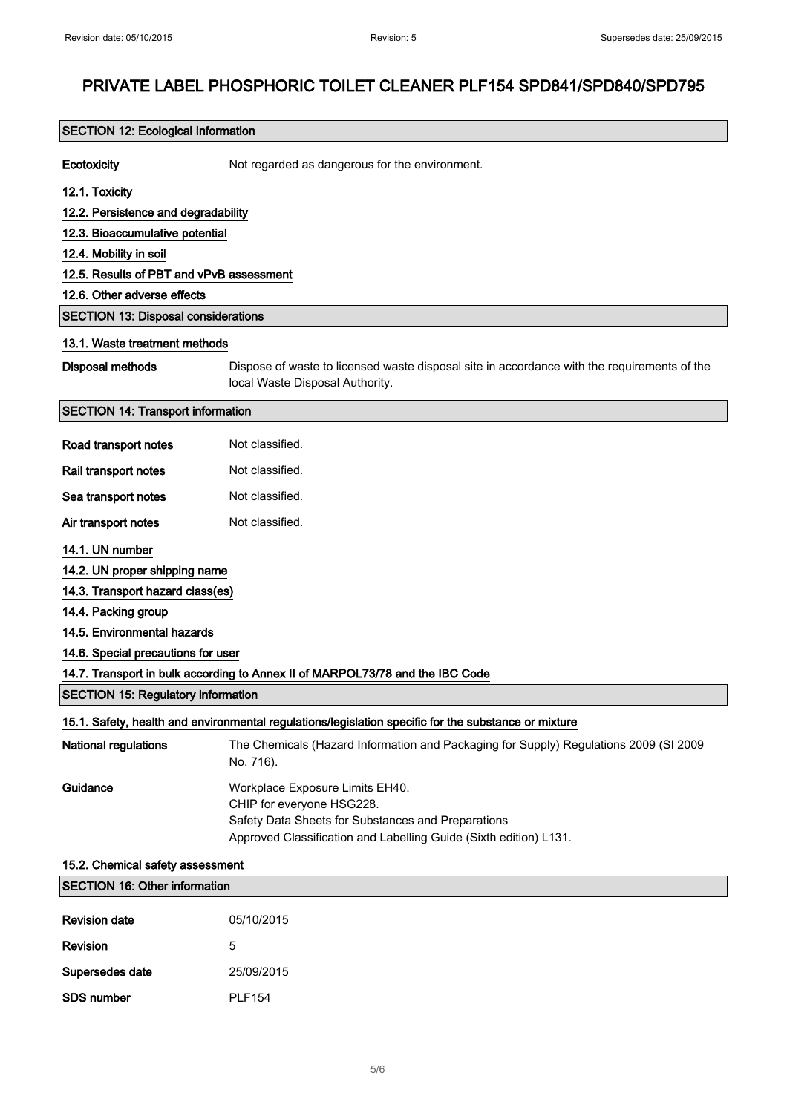# SECTION 12: Ecological Information Ecotoxicity **Not regarded as dangerous for the environment.** 12.1. Toxicity 12.2. Persistence and degradability 12.3. Bioaccumulative potential 12.4. Mobility in soil 12.5. Results of PBT and vPvB assessment 12.6. Other adverse effects SECTION 13: Disposal considerations 13.1. Waste treatment methods Disposal methods Dispose of waste to licensed waste disposal site in accordance with the requirements of the local Waste Disposal Authority. SECTION 14: Transport information Road transport notes Not classified. Rail transport notes Not classified. Sea transport notes Not classified. Air transport notes Not classified. 14.1. UN number 14.2. UN proper shipping name 14.3. Transport hazard class(es) 14.4. Packing group 14.5. Environmental hazards 14.6. Special precautions for user 14.7. Transport in bulk according to Annex II of MARPOL73/78 and the IBC Code SECTION 15: Regulatory information 15.1. Safety, health and environmental regulations/legislation specific for the substance or mixture National regulations The Chemicals (Hazard Information and Packaging for Supply) Regulations 2009 (SI 2009 No. 716). Guidance Workplace Exposure Limits EH40. CHIP for everyone HSG228. Safety Data Sheets for Substances and Preparations Approved Classification and Labelling Guide (Sixth edition) L131. 15.2. Chemical safety assessment

| <b>SECTION 16: Other information</b> |               |
|--------------------------------------|---------------|
| <b>Revision date</b>                 | 05/10/2015    |
| Revision                             | 5             |
| Supersedes date                      | 25/09/2015    |
| <b>SDS number</b>                    | <b>PLF154</b> |